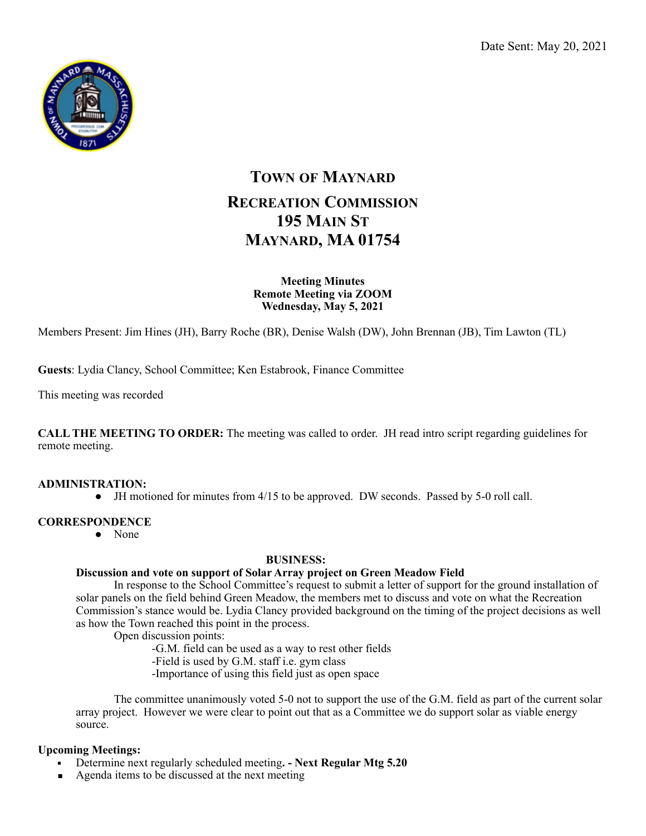

# **TOWN OF MAYNARD RECREATION COMMISSION 195 MAIN ST MAYNARD, MA 01754**

**Meeting Minutes Remote Meeting via ZOOM Wednesday, May 5, 2021** 

Members Present: Jim Hines (JH), Barry Roche (BR), Denise Walsh (DW), John Brennan (JB), Tim Lawton (TL)

**Guests**: Lydia Clancy, School Committee; Ken Estabrook, Finance Committee

This meeting was recorded

**CALL THE MEETING TO ORDER:** The meeting was called to order. JH read intro script regarding guidelines for remote meeting.

#### **ADMINISTRATION:**

● JH motioned for minutes from 4/15 to be approved. DW seconds. Passed by 5-0 roll call.

### **CORRESPONDENCE**

• None

#### **BUSINESS:**

#### **Discussion and vote on support of Solar Array project on Green Meadow Field**

 In response to the School Committee's request to submit a letter of support for the ground installation of solar panels on the field behind Green Meadow, the members met to discuss and vote on what the Recreation Commission's stance would be. Lydia Clancy provided background on the timing of the project decisions as well as how the Town reached this point in the process.

Open discussion points:

-G.M. field can be used as a way to rest other fields

- -Field is used by G.M. staff i.e. gym class
- -Importance of using this field just as open space

 The committee unanimously voted 5-0 not to support the use of the G.M. field as part of the current solar array project. However we were clear to point out that as a Committee we do support solar as viable energy source.

#### **Upcoming Meetings:**

- Determine next regularly scheduled meeting. Next Regular Mtg 5.20
- Agenda items to be discussed at the next meeting